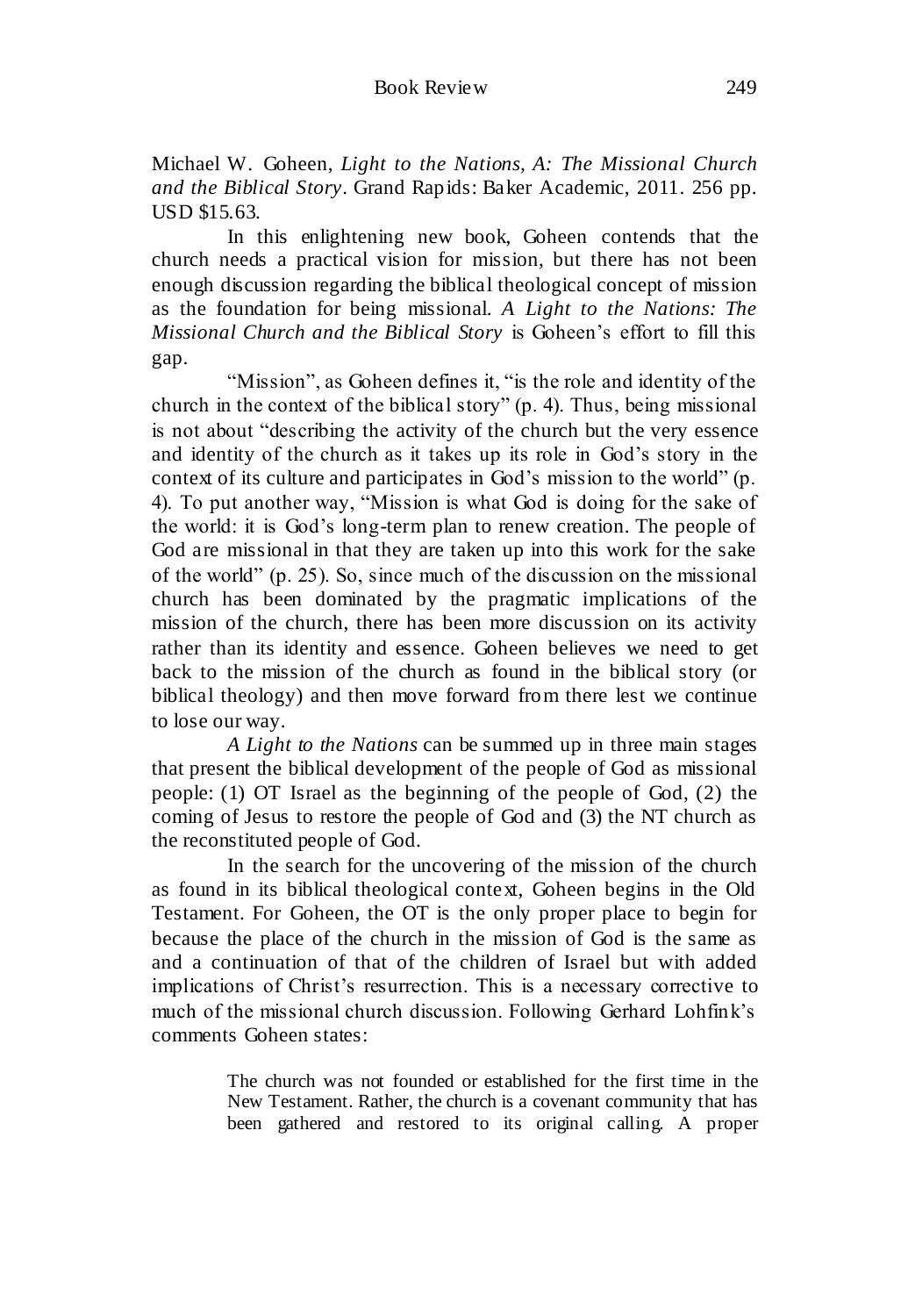Michael W. Goheen, *Light to the Nations, A: The Missional Church and the Biblical Story*. Grand Rapids: Baker Academic, 2011. 256 pp. USD \$15.63.

In this enlightening new book, Goheen contends that the church needs a practical vision for mission, but there has not been enough discussion regarding the biblical theological concept of mission as the foundation for being missional. *[A Light to the Nations: The](http://www.amazon.com/Light-Nations-Missional-Church-Biblical/dp/0801031419/ref=sr_1_1?ie=UTF8&qid=1317688035&sr=8-1)  [Missional Church and the Biblical Story](http://www.amazon.com/Light-Nations-Missional-Church-Biblical/dp/0801031419/ref=sr_1_1?ie=UTF8&qid=1317688035&sr=8-1)* is Goheen's effort to fill this gap.

"Mission", as Goheen defines it, "is the role and identity of the church in the context of the biblical story" (p. 4). Thus, being missional is not about "describing the activity of the church but the very essence and identity of the church as it takes up its role in God's story in the context of its culture and participates in God's mission to the world" (p. 4). To put another way, "Mission is what God is doing for the sake of the world: it is God's long-term plan to renew creation. The people of God are missional in that they are taken up into this work for the sake of the world" (p. 25). So, since much of the discussion on the missional church has been dominated by the pragmatic implications of the mission of the church, there has been more discussion on its activity rather than its identity and essence. Goheen believes we need to get back to the mission of the church as found in the biblical story (or biblical theology) and then move forward from there lest we continue to lose our way.

*[A Light to the Nations](http://www.amazon.com/Light-Nations-Missional-Church-Biblical/dp/0801031419/ref=sr_1_1?ie=UTF8&qid=1317688035&sr=8-1)* can be summed up in three main stages that present the biblical development of the people of God as missional people: (1) OT Israel as the beginning of the people of God, (2) the coming of Jesus to restore the people of God and (3) the NT church as the reconstituted people of God.

In the search for the uncovering of the mission of the church as found in its biblical theological context, Goheen begins in the Old Testament. For Goheen, the OT is the only proper place to begin for because the place of the church in the mission of God is the same as and a continuation of that of the children of Israel but with added implications of Christ's resurrection. This is a necessary corrective to much of the missional church discussion. Following Gerhard Lohfink's comments Goheen states:

> The church was not founded or established for the first time in the New Testament. Rather, the church is a covenant community that has been gathered and restored to its original calling. A proper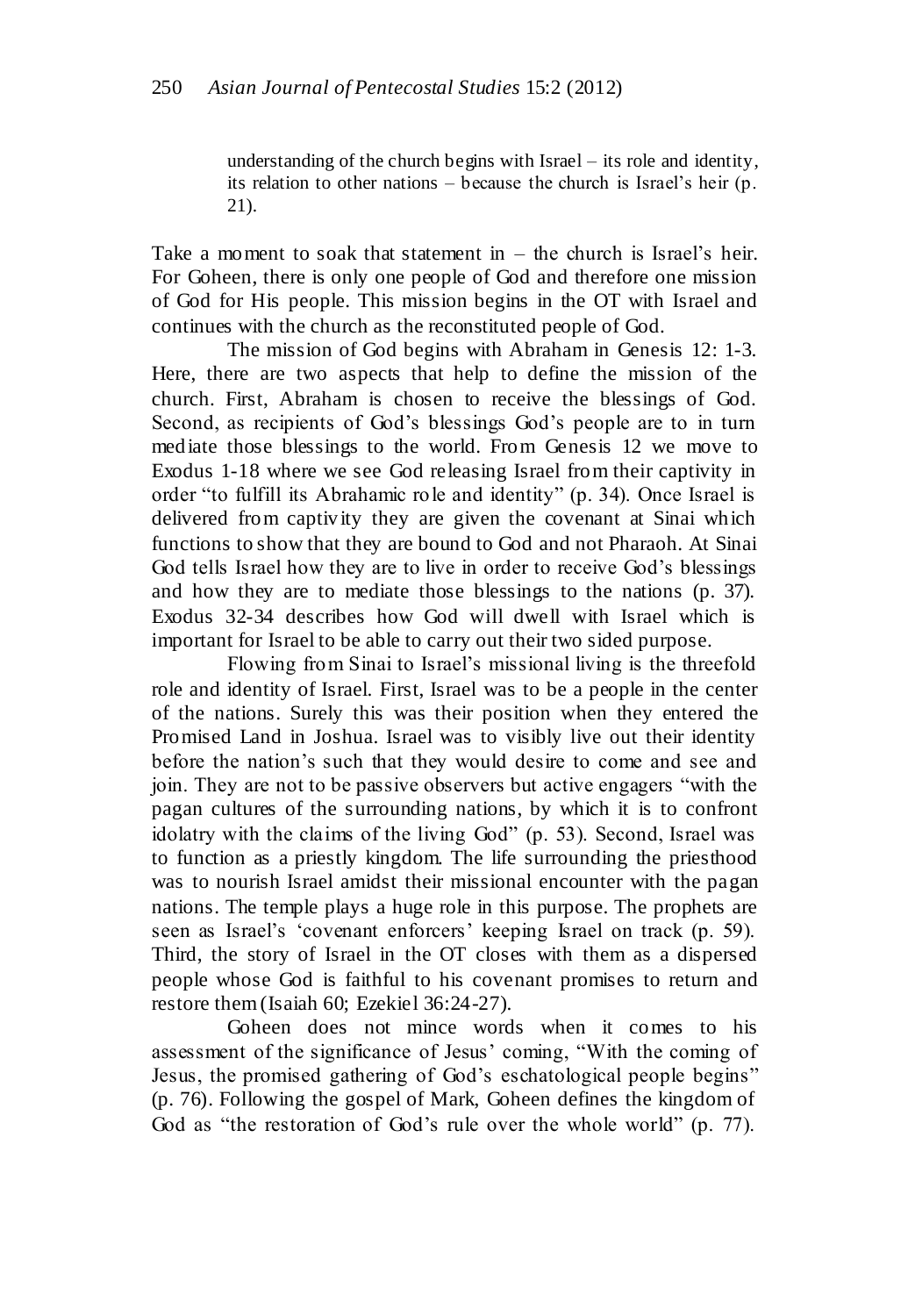understanding of the church begins with Israel – its role and identity, its relation to other nations – because the church is Israel's heir (p. 21).

Take a moment to soak that statement in – the church is Israel's heir. For Goheen, there is only one people of God and therefore one mission of God for His people. This mission begins in the OT with Israel and continues with the church as the reconstituted people of God.

The mission of God begins with Abraham in Genesis 12: 1-3. Here, there are two aspects that help to define the mission of the church. First, Abraham is chosen to receive the blessings of God. Second, as recipients of God's blessings God's people are to in turn mediate those blessings to the world. From Genesis 12 we move to Exodus 1-18 where we see God releasing Israel from their captivity in order "to fulfill its Abrahamic role and identity" (p. 34). Once Israel is delivered from captivity they are given the covenant at Sinai which functions to show that they are bound to God and not Pharaoh. At Sinai God tells Israel how they are to live in order to receive God's blessings and how they are to mediate those blessings to the nations (p. 37). Exodus 32-34 describes how God will dwell with Israel which is important for Israel to be able to carry out their two sided purpose.

Flowing from Sinai to Israel's missional living is the threefold role and identity of Israel. First, Israel was to be a people in the center of the nations. Surely this was their position when they entered the Promised Land in Joshua. Israel was to visibly live out their identity before the nation's such that they would desire to come and see and join. They are not to be passive observers but active engagers "with the pagan cultures of the surrounding nations, by which it is to confront idolatry with the claims of the living God" (p. 53). Second, Israel was to function as a priestly kingdom. The life surrounding the priesthood was to nourish Israel amidst their missional encounter with the pagan nations. The temple plays a huge role in this purpose. The prophets are seen as Israel's 'covenant enforcers' keeping Israel on track (p. 59). Third, the story of Israel in the OT closes with them as a dispersed people whose God is faithful to his covenant promises to return and restore them (Isaiah 60; Ezekiel 36:24-27).

Goheen does not mince words when it comes to his assessment of the significance of Jesus' coming, "With the coming of Jesus, the promised gathering of God's eschatological people begins" (p. 76). Following the gospel of Mark, Goheen defines the kingdom of God as "the restoration of God's rule over the whole world" (p. 77).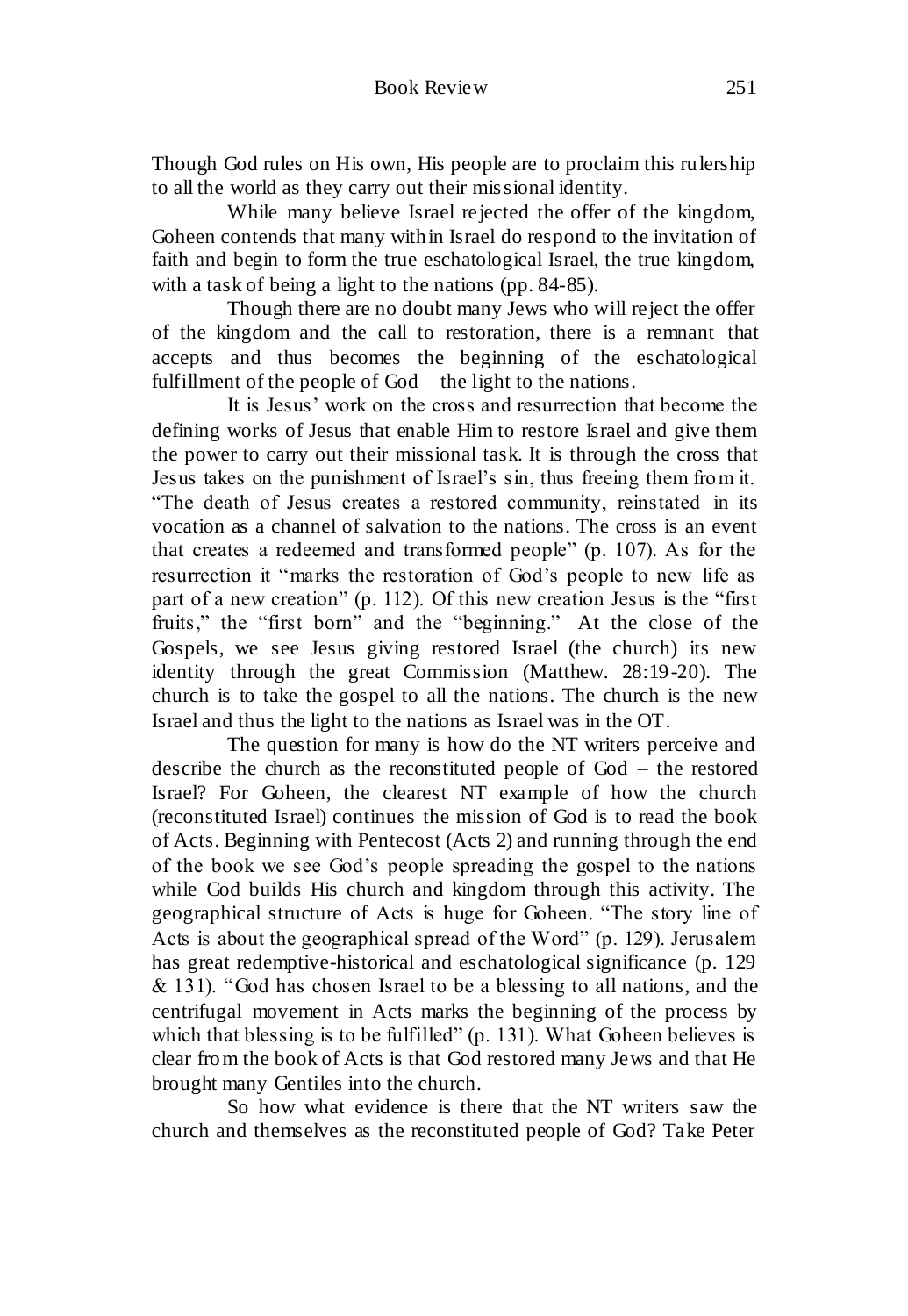Though God rules on His own, His people are to proclaim this rulership to all the world as they carry out their missional identity.

While many believe Israel rejected the offer of the kingdom, Goheen contends that many within Israel do respond to the invitation of faith and begin to form the true eschatological Israel, the true kingdom, with a task of being a light to the nations (pp. 84-85).

Though there are no doubt many Jews who will reject the offer of the kingdom and the call to restoration, there is a remnant that accepts and thus becomes the beginning of the eschatological fulfillment of the people of God – the light to the nations.

It is Jesus' work on the cross and resurrection that become the defining works of Jesus that enable Him to restore Israel and give them the power to carry out their missional task. It is through the cross that Jesus takes on the punishment of Israel's sin, thus freeing them from it. "The death of Jesus creates a restored community, reinstated in its vocation as a channel of salvation to the nations. The cross is an event that creates a redeemed and transformed people" (p. 107). As for the resurrection it "marks the restoration of God's people to new life as part of a new creation" (p. 112). Of this new creation Jesus is the "first fruits," the "first born" and the "beginning." At the close of the Gospels, we see Jesus giving restored Israel (the church) its new identity through the great Commission (Matthew. 28:19-20). The church is to take the gospel to all the nations. The church is the new Israel and thus the light to the nations as Israel was in the OT.

The question for many is how do the NT writers perceive and describe the church as the reconstituted people of God – the restored Israel? For Goheen, the clearest NT example of how the church (reconstituted Israel) continues the mission of God is to read the book of Acts. Beginning with Pentecost (Acts 2) and running through the end of the book we see God's people spreading the gospel to the nations while God builds His church and kingdom through this activity. The geographical structure of Acts is huge for Goheen. "The story line of Acts is about the geographical spread of the Word" (p. 129). Jerusalem has great redemptive-historical and eschatological significance (p. 129  $& 131$ ). "God has chosen Israel to be a blessing to all nations, and the centrifugal movement in Acts marks the beginning of the process by which that blessing is to be fulfilled" (p. 131). What Goheen believes is clear from the book of Acts is that God restored many Jews and that He brought many Gentiles into the church.

So how what evidence is there that the NT writers saw the church and themselves as the reconstituted people of God? Take Peter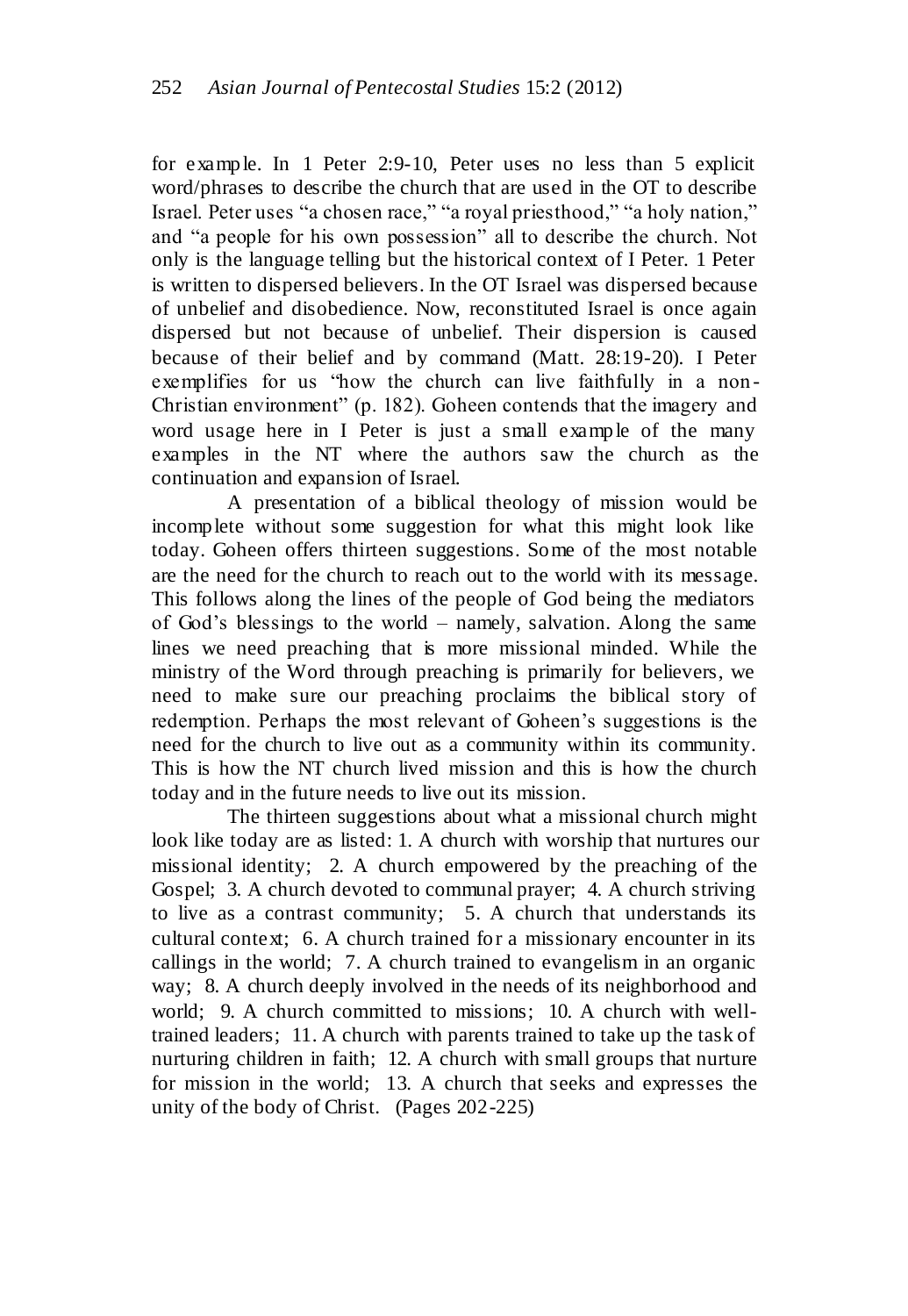for example. In 1 Peter 2:9-10, Peter uses no less than 5 explicit word/phrases to describe the church that are used in the OT to describe Israel. Peter uses "a chosen race," "a royal priesthood," "a holy nation," and "a people for his own possession" all to describe the church. Not only is the language telling but the historical context of I Peter. 1 Peter is written to dispersed believers. In the OT Israel was dispersed because of unbelief and disobedience. Now, reconstituted Israel is once again dispersed but not because of unbelief. Their dispersion is caused because of their belief and by command (Matt. 28:19-20). I Peter exemplifies for us "how the church can live faithfully in a non-Christian environment" (p. 182). Goheen contends that the imagery and word usage here in I Peter is just a small example of the many examples in the NT where the authors saw the church as the continuation and expansion of Israel.

A presentation of a biblical theology of mission would be incomplete without some suggestion for what this might look like today. Goheen offers thirteen suggestions. Some of the most notable are the need for the church to reach out to the world with its message. This follows along the lines of the people of God being the mediators of God's blessings to the world – namely, salvation. Along the same lines we need preaching that is more missional minded. While the ministry of the Word through preaching is primarily for believers, we need to make sure our preaching proclaims the biblical story of redemption. Perhaps the most relevant of Goheen's suggestions is the need for the church to live out as a community within its community. This is how the NT church lived mission and this is how the church today and in the future needs to live out its mission.

The thirteen suggestions about what a missional church might look like today are as listed: 1. A church with worship that nurtures our missional identity; 2. A church empowered by the preaching of the Gospel; 3. A church devoted to communal prayer; 4. A church striving to live as a contrast community; 5. A church that understands its cultural context; 6. A church trained for a missionary encounter in its callings in the world; 7. A church trained to evangelism in an organic way; 8. A church deeply involved in the needs of its neighborhood and world; 9. A church committed to missions; 10. A church with welltrained leaders; 11. A church with parents trained to take up the task of nurturing children in faith; 12. A church with small groups that nurture for mission in the world; 13. A church that seeks and expresses the unity of the body of Christ. (Pages 202-225)